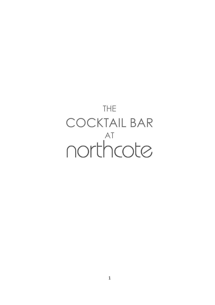# THE COCKTAIL BAR northcote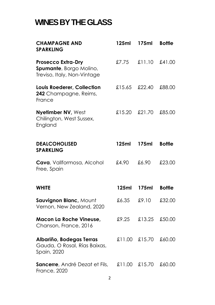## **WINES BY THE GLASS**

| <b>CHAMPAGNE AND</b><br><b>SPARKLING</b>                                            | 125ml  | 175ml  | <b>Bottle</b> |
|-------------------------------------------------------------------------------------|--------|--------|---------------|
| <b>Prosecco Extra-Dry</b><br>Spumante, Borgo Molino,<br>Treviso, Italy, Non-Vintage | £7.75  | £11.10 | £41.00        |
| Louis Roederer, Collection<br>242 Champagne, Reims,<br>France                       | £15.65 | £22.40 | £88.00        |
| Nyetimber NV, West<br>Chilington, West Sussex,<br>England                           | £15.20 | £21.70 | £85.00        |
| <b>DEALCOHOLISED</b><br><b>SPARKLING</b>                                            | 125ml  | 175ml  | <b>Bottle</b> |
| Cava, Vallformosa, Alcohol<br>Free, Spain                                           | £4.90  | £6.90  | £23.00        |
| <b>WHITE</b>                                                                        | 125ml  | 175ml  | <b>Bottle</b> |
| Sauvignon Blanc, Mount<br>Vernon, New Zealand, 2020                                 | £6.35  | £9.10  | £32.00        |
| <b>Macon La Roche Vineuse,</b><br>Chanson, France, 2016                             | £9.25  | £13.25 | £50.00        |
| Albariño, Bodegas Terras<br>Gauda, O Rosal, Rías Baixas,<br>Spain, 2020             | £11.00 | £15.70 | £60.00        |
| Sancerre, André Dezat et Fils,<br><b>France, 2020</b>                               | £11.00 | £15.70 | £60.00        |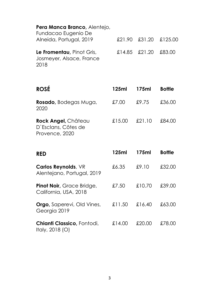### **Pera Manca Branco,** Alentejo,

| Fundacao Eugenio De<br>Alneida, Portugal, 2019                |                      | £21.90 £31.20 £125.00 |
|---------------------------------------------------------------|----------------------|-----------------------|
| Le Fromentau, Pinot Gris,<br>Josmeyer, Alsace, France<br>2018 | £14.85 £21.20 £83.00 |                       |

| <b>ROSÉ</b>                                                  | 125ml  | 175ml  | <b>Bottle</b> |
|--------------------------------------------------------------|--------|--------|---------------|
| <b>Rosado</b> , Bodegas Muga,<br>2020                        | £7.00  | £9.75  | £36.00        |
| Rock Angel, Château<br>D'Esclans, Côtes de<br>Provence, 2020 | £15.00 | £21.10 | £84.00        |

| <b>RED</b>                                                | 125ml  | 175ml  | <b>Bottle</b> |
|-----------------------------------------------------------|--------|--------|---------------|
| <b>Carlos Reynolds, VR</b><br>Alentejano, Portugal, 2019  | £6.35  | £9.10  | £32.00        |
| <b>Pinot Noir, Grace Bridge,</b><br>California, USA, 2018 | £7.50  | £10.70 | £39.00        |
| <b>Orgo, Saperevi, Old Vines,</b><br>Georgia 2019         | £11.50 | £16.40 | £63.00        |
| <b>Chianti Classico</b> , Fontodi,<br>Italy, 2018 (O)     | £14.00 | £20.00 | £78.00        |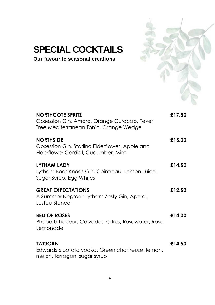

## **SPECIAL COCKTAILS**

**Our favourite seasonal creations**

| <b>NORTHCOTE SPRITZ</b><br>Obsession Gin, Amaro, Orange Curacao, Fever<br>Tree Mediterranean Tonic, Orange Wedge | £17.50 |
|------------------------------------------------------------------------------------------------------------------|--------|
| <b>NORTHSIDE</b><br>Obsession Gin, Starlino Elderflower, Apple and<br>Elderflower Cordial, Cucumber, Mint        | £13.00 |
| LYTHAM LADY<br>Lytham Bees Knees Gin, Cointreau, Lemon Juice,<br>Sugar Syrup, Egg Whites                         | £14.50 |
| <b>GREAT EXPECTATIONS</b><br>A Summer Negroni: Lytham Zesty Gin, Aperol,<br>Lustau Blanco                        | £12.50 |
| <b>BED OF ROSES</b><br>Rhubarb Liqueur, Calvados, Citrus, Rosewater, Rose<br>Lemonade                            | £14.00 |
| <b>TWOCAN</b><br>Edwards's potato vodka, Green chartreuse, lemon,<br>melon, tarragon, sugar syrup                | £14.50 |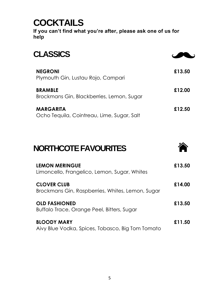## **COCKTAILS**

**If you can't find what you're after, please ask one of us for help**

| <b>CLASSICS</b>                                                |        |
|----------------------------------------------------------------|--------|
| <b>NEGRONI</b><br>Plymouth Gin, Lustau Rojo, Campari           | £13.50 |
| <b>BRAMBLE</b><br>Brockmans Gin, Blackberries, Lemon, Sugar    | £12.00 |
| <b>MARGARITA</b><br>Ocho Tequila, Cointreau, Lime, Sugar, Salt | £12.50 |

## **NORTHCOTE FAVOURITES**



| <b>LEMON MERINGUE</b><br>Limoncello, Frangelico, Lemon, Sugar, Whites  | £13.50 |
|------------------------------------------------------------------------|--------|
| <b>CLOVER CLUB</b><br>Brockmans Gin, Raspberries, Whites, Lemon, Sugar | £14.00 |
| <b>OLD FASHIONED</b><br>Buffalo Trace, Orange Peel, Bitters, Sugar     | £13.50 |
| <b>BLOODY MARY</b><br>Aivy Blue Vodka, Spices, Tobasco, Big Tom Tomato | £11.50 |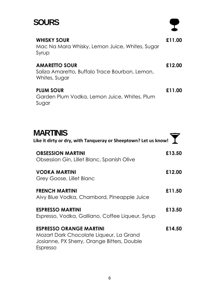## **SOURS**

### **WHISKY SOUR** Mac Na Mara Whisky, Lemon Juice, Whites, Sugar Syrup **£11.00 AMARETTO SOUR** Saliza Amaretto, Buffalo Trace Bourbon, Lemon, Whites, Sugar **£12.00 PLUM SOUR** Garden Plum Vodka, Lemon Juice, Whites, Plum Sugar **£11.00**

| <b>MARTINIS</b><br>Like it dirty or dry, with Tanqueray or Sheeptown? Let us know!                                                   |        |
|--------------------------------------------------------------------------------------------------------------------------------------|--------|
| <b>OBSESSION MARTINI</b><br>Obsession Gin, Lillet Blanc, Spanish Olive                                                               | £13.50 |
| VODKA MARTINI<br>Grey Goose, Lillet Blanc                                                                                            | £12.00 |
| <b>FRENCH MARTINI</b><br>Aivy Blue Vodka, Chambord, Pineapple Juice                                                                  | £11.50 |
| <b>ESPRESSO MARTINI</b><br>Espresso, Vodka, Galliano, Coffee Liqueur, Syrup                                                          | £13.50 |
| <b>ESPRESSO ORANGE MARTINI</b><br>Mozart Dark Chocolate Liqueur, La Grand<br>Josianne, PX Sherry, Orange Bitters, Double<br>Espresso | £14.50 |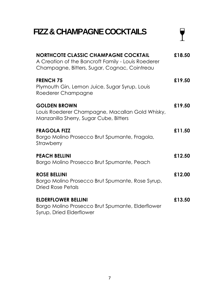## **FIZZ & CHAMPAGNECOCKTAILS**

| <b>NORTHCOTE CLASSIC CHAMPAGNE COCKTAIL</b><br>A Creation of the Bancroft Family - Louis Roederer<br>Champagne, Bitters, Sugar, Cognac, Cointreau | £18.50 |
|---------------------------------------------------------------------------------------------------------------------------------------------------|--------|
| <b>FRENCH 75</b><br>Plymouth Gin, Lemon Juice, Sugar Syrup, Louis<br>Roederer Champagne                                                           | £19.50 |
| <b>GOLDEN BROWN</b><br>Louis Roederer Champagne, Macallan Gold Whisky,<br>Manzanilla Sherry, Sugar Cube, Bitters                                  | £19.50 |
| <b>FRAGOLA FIZZ</b><br>Borgo Molino Prosecco Brut Spumante, Fragola,<br>Strawberry                                                                | £11.50 |
| <b>PEACH BELLINI</b><br>Borgo Molino Prosecco Brut Spumante, Peach                                                                                | £12.50 |
| <b>ROSE BELLINI</b><br>Borgo Molino Prosecco Brut Spumante, Rose Syrup,<br><b>Dried Rose Petals</b>                                               | £12.00 |
| <b>ELDERFLOWER BELLINI</b><br>Borgo Molino Prosecco Brut Spumante, Elderflower<br>Syrup, Dried Elderflower                                        | £13.50 |

 $\overline{\mathbf{Y}}$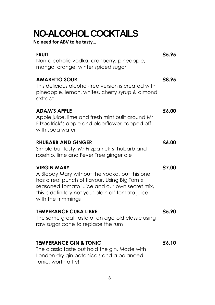## **NO-ALCOHOL COCKTAILS**

**No need for ABV to be tasty…**

| <b>FRUIT</b><br>Non-alcoholic vodka, cranberry, pineapple,<br>mango, orange, winter spiced sugar                                                                                                                                                 | £5.95 |
|--------------------------------------------------------------------------------------------------------------------------------------------------------------------------------------------------------------------------------------------------|-------|
| <b>AMARETTO SOUR</b><br>This delicious alcohol-free version is created with<br>pineapple, lemon, whites, cherry syrup & almond<br>extract                                                                                                        | £8.95 |
| <b>ADAM'S APPLE</b><br>Apple juice, lime and fresh mint built around Mr<br>Fitzpatrick's apple and elderflower, topped off<br>with soda water                                                                                                    | £6.00 |
| <b>RHUBARB AND GINGER</b><br>Simple but tasty, Mr Fitzpatrick's rhubarb and<br>rosehip, lime and Fever Tree ginger ale                                                                                                                           | £6.00 |
| <b>VIRGIN MARY</b><br>A Bloody Mary without the vodka, but this one<br>has a real punch of flavour. Using Big Tom's<br>seasoned tomato juice and our own secret mix,<br>this is definitely not your plain ol' tomato juice<br>with the trimmings | £7.00 |
| <b>TEMPERANCE CUBA LIBRE</b><br>The same great taste of an age-old classic using<br>raw sugar cane to replace the rum                                                                                                                            | £5.90 |
| <b>TEMPERANCE GIN &amp; TONIC</b><br>The classic taste but hold the gin. Made with<br>London dry gin botanicals and a balanced<br>tonic, worth a try!                                                                                            | £6.10 |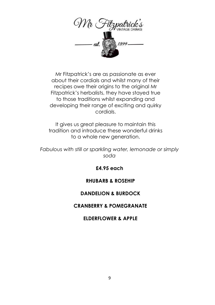

Mr Fitzpatrick's are as passionate as ever about their cordials and whilst many of their recipes owe their origins to the original Mr Fitzpatrick's herbalists, they have stayed true to those traditions whilst expanding and developing their range of exciting and quirky cordials.

It gives us great pleasure to maintain this tradition and introduce these wonderful drinks to a whole new generation.

*Fabulous with still or sparkling water, lemonade or simply soda*

**£4.95 each**

### **RHUBARB & ROSEHIP**

#### **DANDELION & BURDOCK**

#### **CRANBERRY & POMEGRANATE**

#### **ELDERFLOWER & APPLE**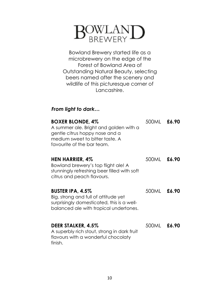

Bowland Brewery started life as a microbrewery on the edge of the Forest of Bowland Area of Outstanding Natural Beauty, selecting beers named after the scenery and wildlife of this picturesque corner of Lancashire.

### *From light to dark…*

| <b>BOXER BLONDE, 4%</b><br>A summer ale. Bright and golden with a<br>gentle citrus hoppy nose and a<br>medium sweet to bitter taste. A<br>favourite of the bar team. | 500ML | £6.90 |
|----------------------------------------------------------------------------------------------------------------------------------------------------------------------|-------|-------|
| HEN HARRIER, 4%<br>Bowland brewery's top flight ale! A<br>stunningly refreshing beer filled with soft<br>citrus and peach flavours.                                  | 500ML | £6.90 |
| <b>BUSTER IPA, 4.5%</b><br>Big, strong and full of attitude yet<br>surprisingly domesticated, this is a well-<br>balanced ale with tropical undertones.              | 500ML | £6.90 |
| DEER STALKER, 4.5%<br>A superbly rich stout, strong in dark fruit<br>flavours with a wonderful chocolaty<br>finish.                                                  | 500ML | £6.90 |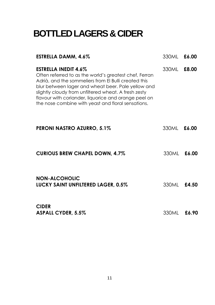## **BOTTLED LAGERS & CIDER**

| ESTRELLA DAMM, 4.6%                                                                                                                                                                                                                                                                                                                                                       | 330ML       | £6.00 |
|---------------------------------------------------------------------------------------------------------------------------------------------------------------------------------------------------------------------------------------------------------------------------------------------------------------------------------------------------------------------------|-------------|-------|
| <b>ESTRELLA INEDIT 4.6%</b><br>Often referred to as the world's greatest chef, Ferran<br>Adrià, and the sommeliers from El Bulli created this<br>blur between lager and wheat beer. Pale yellow and<br>slightly cloudy from unfiltered wheat. A fresh zesty<br>flavour with coriander, liquorice and orange peel on<br>the nose combine with yeast and floral sensations. | 330ML       | £8.00 |
| PERONI NASTRO AZURRO, 5.1%                                                                                                                                                                                                                                                                                                                                                | 330ML       | £6.00 |
| <b>CURIOUS BREW CHAPEL DOWN, 4.7%</b>                                                                                                                                                                                                                                                                                                                                     | 330MI -     | £6.00 |
| <b>NON-ALCOHOLIC</b><br><b>LUCKY SAINT UNFILTERED LAGER, 0.5%</b>                                                                                                                                                                                                                                                                                                         | 330ML       | £4.50 |
| <b>CIDER</b><br><b>ASPALL CYDER, 5.5%</b>                                                                                                                                                                                                                                                                                                                                 | 330ML £6.90 |       |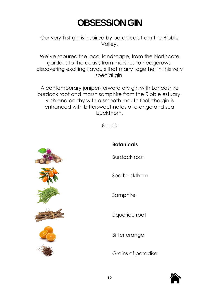## **OBSESSION GIN**

Our very first gin is inspired by botanicals from the Ribble Valley.

We've scoured the local landscape, from the Northcote gardens to the coast; from marshes to hedgerows, discovering exciting flavours that marry together in this very special gin.

A contemporary juniper-forward dry gin with Lancashire burdock root and marsh samphire from the Ribble estuary. Rich and earthy with a smooth mouth feel, the gin is enhanced with bittersweet notes of orange and sea buckthorn.

£11.00



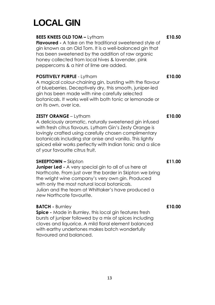## **LOCAL GIN**

### **BEES KNEES OLD TOM –** Lytham

**Flavoured -** A take on the traditional sweetened style of gin known as an Old Tom. It is a well-balanced gin that has been sweetened by the addition of raw organic honey collected from local hives & lavender, pink peppercorns & a hint of lime are added.

#### **POSITIVELY PURPLE** - Lytham

A magical colour-chaining gin, bursting with the flavour of blueberries. Deceptively dry, this smooth, juniper-led gin has been made with nine carefully selected botanicals. It works well with both tonic or lemonade or on its own, over ice.

#### **ZESTY ORANGE** – Lytham

A deliciously aromatic, naturally sweetened gin infused with fresh citrus flavours. Lytham Gin's Zesty Orange is lovingly crafted using carefully chosen complimentary botanicals including star anise and vanilla. This lightly spiced elixir works perfectly with Indian tonic and a slice of your favourite citrus fruit.

#### **SHEEPTOWN –** Skipton

**Juniper Led -** A very special gin to all of us here at Northcote. From just over the border in Skipton we bring the wright wine company's very own gin. Produced with only the most natural local botanicals. Julian and the team at Whittaker's have produced a new Northcote favourite.

#### **BATCH -** Burnley

**Spice -** Made in Burnley, this local gin features fresh bursts of juniper followed by a mix of spices including cloves and liquorice. A mild floral element balanced with earthy undertones makes batch wonderfully flavoured and balanced.

**£10.50**

**£10.00**

**£10.00**

**£11.00**

**£10.00**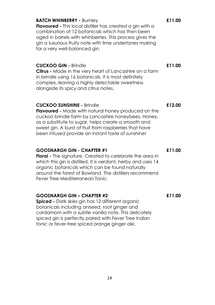#### **BATCH WHINBERRY -** Burnley

**Flavoured -** This local distiller has created a gin with a combination of 12 botanicals which has then been aged in barrels with whinberries. This process gives the gin a luxurious fruity note with lime undertones making for a very well-balanced gin.

#### **CUCKOO GIN -** Brindle

**Citrus -** Made in the very heart of Lancashire on a farm in brindle using 16 botanicals, it is most definitely complex, leaving a highly delectable sweetness alongside its spicy and citrus notes.

#### **CUCKOO SUNSHINE -** Brindle

**Flavoured -** Made with natural honey produced on the cuckoo brindle farm by Lancashire honeybees. Honey, as a substitute to sugar, helps create a smooth and sweet gin. A burst of fruit from raspberries that have been infused provide an instant taste of sunshine!

#### **GOOSNARGH GIN - CHAPTER #1**

**Floral -** The signature. Created to celebrate the area in which this gin is distilled. It is verdant, herby and uses 14 organic botanicals which can be found naturally around the forest of Bowland. The distillers recommend Fever Tree Mediterranean Tonic.

#### **GOOSNARGH GIN – CHAPTER #2**

**Spiced -** Dark skies gin has 12 different organic botanicals including aniseed, root ginger and cardamom with a subtle vanilla note. This delicately spiced gin is perfectly paired with Fever Tree Indian tonic or fever-tree spiced orange ginger ale.

**£12.00**

**£11.00**

**£11.00**

**£11.00**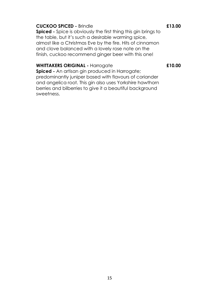#### **CUCKOO SPICED -** Brindle

**Spiced -** Spice is obviously the first thing this gin brings to the table, but it's such a desirable warming spice, almost like a Christmas Eve by the fire. Hits of cinnamon and clove balanced with a lovely rose note on the finish, cuckoo recommend ginger beer with this one!

#### **WHITTAKERS ORIGINAL -** Harrogate

**£10.00**

**Spiced -** An artisan gin produced in Harrogate; predominantly juniper based with flavours of coriander and angelica root. This gin also uses Yorkshire hawthorn berries and bilberries to give it a beautiful background sweetness.

#### **£13.00**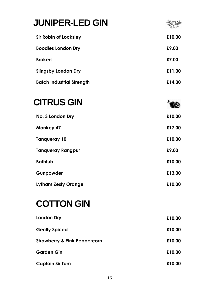| <b>JUNIPER-LED GIN</b>           |        |
|----------------------------------|--------|
| Sir Robin of Locksley            | £10.00 |
| <b>Boodles London Dry</b>        | £9.00  |
| <b>Brokers</b>                   | £7.00  |
| <b>Slingsby London Dry</b>       | £11.00 |
| <b>Batch Industrial Strength</b> | £14.00 |

## **CITRUS GIN**

| No. 3 London Dry           | £10.00 |
|----------------------------|--------|
| <b>Monkey 47</b>           | £17.00 |
| Tangueray 10               | £10.00 |
| <b>Tangueray Rangpur</b>   | £9.00  |
| <b>Bathtub</b>             | £10.00 |
| Gunpowder                  | £13.00 |
| <b>Lytham Zesty Orange</b> | £10.00 |

 $\bullet$ 

## **COTTON GIN**

| <b>London Dry</b>                       | £10.00 |
|-----------------------------------------|--------|
| <b>Gently Spiced</b>                    | £10.00 |
| <b>Strawberry &amp; Pink Peppercorn</b> | £10.00 |
| <b>Garden Gin</b>                       | £10.00 |
| Captain Sir Tom                         | £10.00 |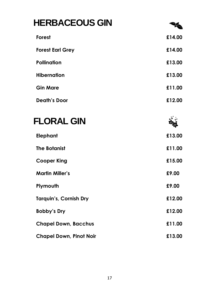## **HERBACEOUS GIN Forest £14.00 Forest Earl Grey £14.00 Pollination £13.00 Hibernation £13.00 Gin Mare £11.00**

| <b>Death's Door</b> | £12.00 |
|---------------------|--------|
|                     |        |

| <b>FLORAL GIN</b>              |        |
|--------------------------------|--------|
| <b>Elephant</b>                | £13.00 |
| <b>The Botanist</b>            | £11.00 |
| <b>Cooper King</b>             | £15.00 |
| <b>Martin Miller's</b>         | £9.00  |
| Plymouth                       | £9.00  |
| <b>Tarquin's, Cornish Dry</b>  | £12.00 |
| Bobby's Dry                    | £12.00 |
| <b>Chapel Down, Bacchus</b>    | £11.00 |
| <b>Chapel Down, Pinot Noir</b> | £13.00 |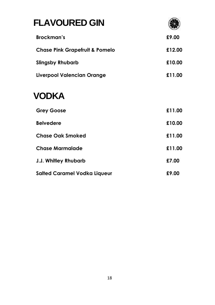## **FLAVOURED GIN**



| Brockman's                                | £9.00  |
|-------------------------------------------|--------|
| <b>Chase Pink Grapefruit &amp; Pomelo</b> | £12.00 |
| <b>Slingsby Rhubarb</b>                   | £10.00 |
| Liverpool Valencian Orange                | £11.00 |

## **VODKA**

| <b>Grey Goose</b>                   | £11.00 |
|-------------------------------------|--------|
| <b>Belvedere</b>                    | £10.00 |
| <b>Chase Oak Smoked</b>             | £11.00 |
| <b>Chase Marmalade</b>              | £11.00 |
| <b>J.J. Whitley Rhubarb</b>         | £7.00  |
| <b>Salted Caramel Vodka Liqueur</b> | £9.00  |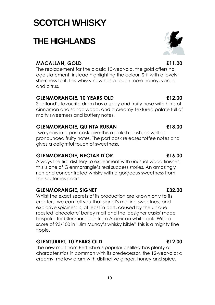## **SCOTCH WHISKY**

## **THE HIGHLANDS**

### **MACALLAN, GOLD £11.00**

The replacement for the classic 10-year-old, the gold offers no age statement, instead highlighting the colour. Still with a lovely sherriness to it, this whisky now has a touch more honey, vanilla and citrus.

### **GLENMORANGIE, 10 YEARS OLD £12.00**

Scotland's favourite dram has a spicy and fruity nose with hints of cinnamon and sandalwood, and a creamy-textured palate full of malty sweetness and buttery notes.

### **GLENMORANGIE, QUINTA RUBAN £18.00**

Two years in a port cask give this a pinkish blush, as well as pronounced fruity notes. The port cask releases toffee notes and gives a delightful touch of sweetness.

### **GLENMORANGIE, NECTAR D'OR £16.00**

Always the first distillery to experiment with unusual wood finishes; this is one of Glenmorangie's real success stories. An amazingly rich and concentrated whisky with a gorgeous sweetness from the sauternes casks.

### **GLENMORANGIE, SIGNET £32.00**

Whilst the exact secrets of its production are known only to its creators, we can tell you that signet's melting sweetness and explosive spiciness is, at least in part, caused by the unique roasted 'chocolate' barley malt and the 'designer casks' made bespoke for Glenmorangie from American white oak. With a score of 93/100 in "Jim Murray's whisky bible" this is a mighty fine tipple.

### **GLENTURRET, 10 YEARS OLD £12.00**

The new malt from Perthshire's popular distillery has plenty of characteristics in common with its predecessor, the 12-year-old; a creamy, mellow dram with distinctive ginger, honey and spice.

#### 19

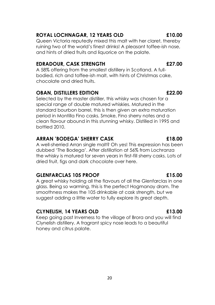### **ROYAL LOCHNAGAR, 12 YEARS OLD £10.00**

Queen Victoria reputedly mixed this malt with her claret, thereby ruining two of the world's finest drinks! A pleasant toffee-ish nose, and hints of dried fruits and liquorice on the palate.

### **EDRADOUR, CASK STRENGTH £27.00**

A 58% offering from the smallest distillery in Scotland. A fullbodied, rich and toffee-ish malt, with hints of Christmas cake, chocolate and dried fruits.

### **OBAN, DISTILLERS EDITION £22.00**

Selected by the master distiller, this whisky was chosen for a special range of double matured whiskies. Matured in the standard bourbon barrel, this is then given an extra maturation period in Montilla Fino casks. Smoke, Fino sherry notes and a clean flavour abound in this stunning whisky. Distilled in 1995 and bottled 2010.

### **ARRAN 'BODEGA' SHERRY CASK £18.00**

A well-sherried Arran single malt? Oh yes! This expression has been dubbed 'The Bodega'. After distillation at 56% from Lochranza the whisky is matured for seven years in first-fill sherry casks. Lots of dried fruit, figs and dark chocolate over here.

### **GLENFARCLAS 105 PROOF £15.00**

A great whisky holding all the flavours of all the Glenfarclas in one glass. Being so warming, this is the perfect Hogmanay dram. The smoothness makes the 105 drinkable at cask strength, but we suggest adding a little water to fully explore its great depth.

### **CLYNELISH, 14 YEARS OLD £13.00**

Keep going past Inverness to the village of Brora and you will find Clynelish distillery. A fragrant spicy nose leads to a beautiful honey and citrus palate.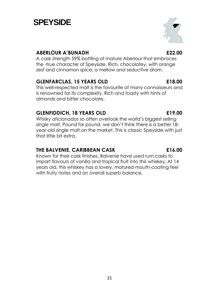#### single malt. Pound for pound, we don't think there is a better 18 year-old single malt on the market. This is classic Speyside with just

that little bit extra.

#### **THE BALVENIE, CARIBBEAN CASK £16.00**

Known for their cask finishes, Balvenie have used rum casks to impart flavours of vanilla and tropical fruit into this whiskey. At 14 years old, this whiskey has a lovely, matured mouth-coating feel with fruity notes and an overall superb balance.

### **ABERLOUR A'BUNADH £22.00**

A cask strength 59% bottling of mature Aberlour that embraces the -true character of Speyside. Rich, chocolatey, with orange zest and cinnamon spice; a mellow and seductive dram.

### **GLENFARCLAS, 15 YEARS OLD £18.00**

This well-respected malt is the favourite of many connoisseurs and is renowned for its complexity. Rich and toasty with hints of almonds and bitter chocolate.

Whisky aficionados so often overlook the world's biggest selling

## **SPEYSIDE**

## **GLENFIDDICH, 18 YEARS OLD £19.00**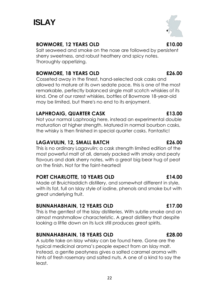

#### **BOWMORE, 12 YEARS OLD £10.00**

Salt seaweed and smoke on the nose are followed by persistent sherry sweetness, and robust heathery and spicy notes. Thoroughly appetizing.

#### **BOWMORE, 18 YEARS OLD £26.00**

Cosseted away in the finest, hand-selected oak casks and allowed to mature at its own sedate pace, this is one of the most remarkable, perfectly balanced single malt scotch whiskies of its kind. One of our rarest whiskies, bottles of Bowmore 18-year-old may be limited, but there's no end to its enjoyment.

#### **LAPHROAIG, QUARTER CASK £13.00**

Not your normal Laphroaig here, instead an experimental double maturation at higher strength. Matured in normal bourbon casks, the whisky is then finished in special quarter casks. Fantastic!

#### **LAGAVULIN, 12, SMALL BATCH £26.00**

This is no ordinary Lagavulin; a cask strength limited edition of the most powerful malt of all, densely packed with smoky and peaty flavours and dark sherry notes, with a great big bear hug of peat on the finish. Not for the faint-hearted!

#### **PORT CHARLOTTE, 10 YEARS OLD £14.00**

Made at Bruichladdich distillery, and somewhat different in style, with its fat, full on Islay style of iodine, phenols and smoke but with great underlying fruit.

#### **BUNNAHABHAIN, 12 YEARS OLD £17.00**

This is the gentlest of the Islay distilleries. With subtle smoke and an almost marshmallow characteristic. A great distillery that despite looking a little down on its luck still produces great spirits.

#### **BUNNAHABHAIN, 18 YEARS OLD £28.00**

A subtle take on Islay whisky can be found here. Gone are the typical medicinal aroma's people expect from an Islay malt. Instead, a gentle peatyness gives a salted caramel aroma with hints of fresh rosemary and salted nuts. A one of a kind to say the least.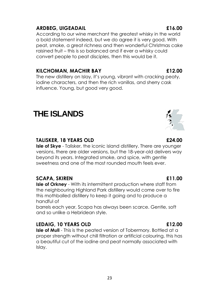The new distillery on Islay, it's young, vibrant with cracking peaty, iodine characters, and then the rich vanillas, and sherry cask influence. Young, but good very good.

**KILCHOMAN, MACHIR BAY £12.00**

## **THE ISLANDS**

#### **TALISKER, 18 YEARS OLD £24.00**

**Isle of Skye** - Talisker, the iconic island distillery. There are younger versions, there are older versions, but the 18-year-old delivers way beyond its years. Integrated smoke, and spice, with gentle sweetness and one of the most rounded mouth feels ever.

#### **SCAPA, SKIREN £11.00**

**Isle of Orkney** - With its intermittent production where staff from the neighbouring Highland Park distillery would come over to fire this mothballed distillery to keep it going and to produce a handful of

barrels each year, Scapa has always been scarce. Gentle, soft and so unlike a Hebridean style.

#### **LEDAIG, 10 YEARS OLD £12.00**

**Isle of Mull** - This is the peated version of Tobermory. Bottled at a proper strength without chill filtration or artificial colouring, this has a beautiful cut of the iodine and peat normally associated with Islay.

#### **ARDBEG, UIGEADAIL £16.00**

According to our wine merchant the greatest whisky in the world a bold statement indeed, but we do agree it is very good. With peat, smoke, a great richness and then wonderful Christmas cake raisined fruit – this is so balanced and if ever a whisky could convert people to peat disciples, then this would be it.

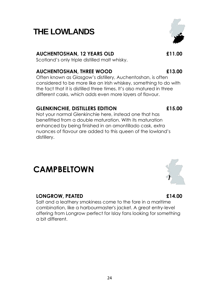#### $24$

## **THE LOWLANDS**

### **AUCHENTOSHAN, 12 YEARS OLD £11.00**

Scotland's only triple distilled malt whisky.

### **AUCHENTOSHAN, THREE WOOD £13.00**

Often known as Glasgow's distillery, Auchentoshan, is often considered to be more like an Irish whiskey, something to do with the fact that it is distilled three times. It's also matured in three different casks, which adds even more layers of flavour.

### **GLENKINCHIE, DISTILLERS EDITION £15.00**

Not your normal Glenkinchie here, instead one that has benefitted from a double maturation. With its maturation enhanced by being finished in an amontillado cask, extra nuances of flavour are added to this queen of the lowland's distillery.

# **CAMPBELTOWN**

### **LONGROW, PEATED £14.00**

Salt and a leathery smokiness come to the fore in a maritime combination, like a harbourmaster's jacket. A great entry-level offering from Longrow perfect for Islay fans looking for something a bit different.



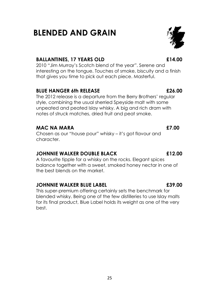## notes of struck matches, dried fruit and peat smoke.

#### **MAC NA MARA £7.00**

Chosen as our "house pour" whisky – it's got flavour and character.

style, combining the usual sherried Speyside malt with some unpeated and peated Islay whisky. A big and rich dram with

#### **JOHNNIE WALKER DOUBLE BLACK £12.00**

balance together with a sweet, smoked honey nectar in one of the best blends on the market.

#### **JOHNNIE WALKER BLUE LABEL £39.00**

This super-premium offering certainly sets the benchmark for blended whisky. Being one of the few distilleries to use Islay malts for its final product, Blue Label holds its weight as one of the very best.

### **BALLANTINES, 17 YEARS OLD £14.00**

**BLENDED AND GRAIN** 

2010 "Jim Murray's Scotch blend of the year". Serene and interesting on the tongue. Touches of smoke, biscuity and a finish that gives you time to pick out each piece. Masterful.

A favourite tipple for a whisky on the rocks. Elegant spices

#### **BLUE HANGER 6th RELEASE £26.00** The 2012 release is a departure from the Berry Brothers' regular

#### 25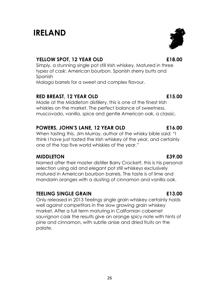## **IRELAND**

### **YELLOW SPOT, 12 YEAR OLD £18.00**

Simply, a stunning single pot still Irish whiskey. Matured in three types of cask: American bourbon, Spanish sherry butts and Spanish Malaga barrels for a sweet and complex flavour.

### **RED BREAST, 12 YEAR OLD £15.00**

Made at the Middleton distillery, this is one of the finest Irish whiskies on the market. The perfect balance of sweetness, muscovado, vanilla, spice and gentle American oak, a classic.

#### **POWERS, JOHN'S LANE, 12 YEAR OLD £16.00**

When tasting this, Jim Murray, author of the whisky bible said: "I think I have just tasted the Irish whiskey of the year, and certainly one of the top five world whiskies of the year."

#### **MIDDLETON £39.00**

Named after their master distiller Barry Crockett, this is his personal selection using old and elegant pot still whiskeys exclusively matured in American bourbon barrels. The taste is of lime and mandarin oranges with a dusting of cinnamon and vanilla oak.

### **TEELING SINGLE GRAIN £13.00**

Only released in 2013 Teelings single grain whiskey certainly holds well against competitors in the slow growing grain whiskey market. After a full term maturing in Californian cabernet sauvignon cask the results give an orange spicy note with hints of pine and cinnamon, with subtle anise and dried fruits on the palate.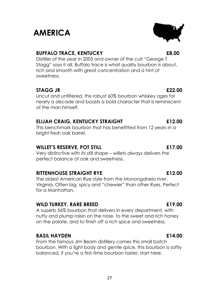## **AMERICA**

### **BUFFALO TRACE, KENTUCKY £8.00**

Distiller of the year in 2005 and owner of the cult "George T Stagg" says it all. Buffalo trace is what quality bourbon is about, rich and smooth with great concentration and a hint of sweetness.

### **STAGG JR £22.00**

Uncut and unfiltered, this robust 60% bourbon whiskey ages for nearly a decade and boasts a bold character that is reminiscent of the man himself.

### **ELIJAH CRAIG, KENTUCKY STRAIGHT £12.00**

This benchmark bourbon that has benefitted from 12 years in a bright fresh oak barrel.

### **WILLET'S RESERVE, POT STILL £17.00**

Very distinctive with its still shape – willets always delivers the perfect balance of oak and sweetness.

### **RITTENHOUSE STRAIGHT RYE £12.00**

The oldest American Rye style from the Monongahela river, Virginia. Often big, spicy and "chewier" than other Ryes. Perfect for a Manhattan.

### **WILD TURKEY, RARE BREED £19.00**

A superb 56% bourbon that delivers in every department, with nutty and plump raisin on the nose, to the sweet and rich honey on the palate, and to finish off a rich spice and sweetness.

### **BASIL HAYDEN £14.00**

From the famous Jim Beam distillery comes this small batch bourbon. With a light body and gentle spice, this bourbon is softly balanced, if you're a first-time bourbon taster, start here.

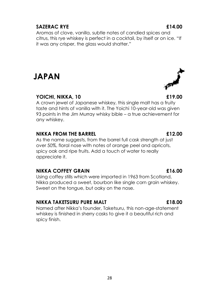#### **YOICHI, NIKKA, 10 £19.00**

A crown jewel of Japanese whiskey, this single malt has a fruity taste and hints of vanilla with it. The Yoichi 10-year-old was given 93 points in the Jim Murray whisky bible – a true achievement for any whiskey.

#### **NIKKA FROM THE BARREL £12.00**

As the name suggests, from the barrel full cask strength at just over 50%, floral nose with notes of orange peel and apricots, spicy oak and ripe fruits. Add a touch of water to really appreciate it.

#### **NIKKA COFFEY GRAIN £16.00**

Using coffey stills which were imported in 1963 from Scotland, Nikka produced a sweet, bourbon like single corn grain whiskey. Sweet on the tongue, but oaky on the nose.

#### **NIKKA TAKETSURU PURE MALT £18.00**

Named after Nikka's founder, Taketsuru, this non-age-statement whiskey is finished in sherry casks to give it a beautiful rich and spicy finish.

Aromas of clove, vanilla, subtle notes of candied spices and citrus, this rye whiskey is perfect in a cocktail, by itself or on ice. "If it was any crisper, the glass would shatter."

### **SAZERAC RYE £14.00**

**JAPAN**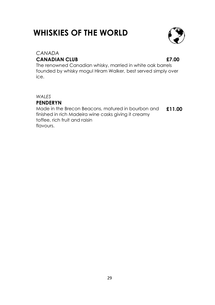## **WHISKIES OF THE WORLD**



### *CANADA* **CANADIAN CLUB £7.00**

The renowned Canadian whisky, married in white oak barrels founded by whisky mogul Hiram Walker, best served simply over ice.

#### *WALES*

### **PENDERYN**

Made in the Brecon Beacons, matured in bourbon and finished in rich Madeira wine casks giving it creamy toffee, rich fruit and raisin flavours. **£11.00**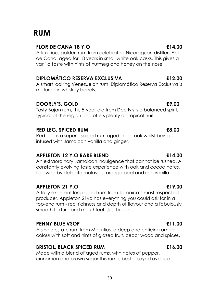## **RUM**

### **FLOR DE CANA 18 Y.O £14.00**

A luxurious golden rum from celebrated Nicaraguan distillers Flor de Cana, aged for 18 years in small white oak casks. This gives a vanilla taste with hints of nutmeg and honey on the nose.

### **DIPLOMÁTICO RESERVA EXCLUSIVA £12.00**

A smart looking Venezuelan rum, Diplomático Reserva Exclusiva is matured in whiskey barrels.

### **DOORLY'S, GOLD £9.00**

Tasty Bajan rum, this 5-year-old from Doorly's is a balanced spirit, typical of the region and offers plenty of tropical fruit.

### **RED LEG, SPICED RUM £8.00**

Red Leg is a superb spiced rum aged in old oak whilst being infused with Jamaican vanilla and ginger.

### **APPLETON 12 Y.O RARE BLEND £14.00**

An extraordinary Jamaican indulgence that cannot be rushed. A constantly evolving taste experience with oak and cocoa notes, followed by delicate molasses, orange peel and rich vanilla.

### **APPLETON 21 Y.O £19.00**

A truly excellent long-aged rum from Jamaica's most respected producer, Appleton 21yo has everything you could ask for in a top-end rum - real richness and depth of flavour and a fabulously smooth texture and mouthfeel. Just brilliant.

### **PENNY BLUE VSOP £11.00**

A single estate rum from Mauritius, a deep and enticing amber colour with soft and hints of glazed fruit, cedar wood and spices.

### **BRISTOL, BLACK SPICED RUM £16.00**

Made with a blend of aged rums, with notes of pepper, cinnamon and brown sugar this rum is best enjoyed over ice.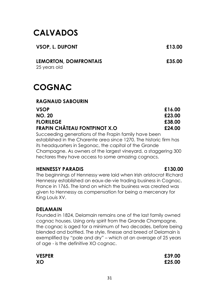## **CALVADOS**

| VSOP, L. DUPONT | £13.00 |
|-----------------|--------|
|                 |        |

**LEMORTON, DOMFRONTAIS £35.00** 25 years old

## **COGNAC**

#### **RAGNAUD SABOURIN**

| VSOP                                | £16.00 |
|-------------------------------------|--------|
| <b>NO. 20</b>                       | £23.00 |
| <b>FLORILEGE</b>                    | £38.00 |
| <b>FRAPIN CHÂTEAU FONTPINOT X.O</b> | £24.00 |

Succeeding generations of the Frapin family have been established in the Charente area since 1270. The historic firm has its headquarters in Segonac, the capital of the Grande Champagne. As owners of the largest vineyard, a staggering 300 hectares they have access to some amazing cognacs.

#### **HENNESSY PARADIS £130.00**

#### The beginnings of Hennessy were laid when Irish aristocrat Richard Hennessy established an eaux-de-vie trading business in Cognac, France in 1765. The land on which the business was created was given to Hennessy as compensation for being a mercenary for King Louis XV.

### **DELAMAIN**

Founded in 1824, Delamain remains one of the last family owned cognac houses. Using only spirit from the Grande Champagne, the cognac is aged for a minimum of two decades, before being blended and bottled. The style, finesse and breed of Delamain is exemplified by "pale and dry" – which at an average of 25 years of age - is the definitive XO cognac.

**VESPER £39.00 XO £25.00**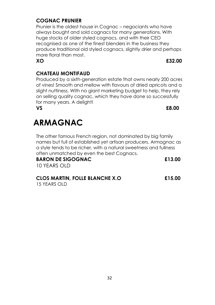#### 32

### **COGNAC PRUNIER**

Prunier is the oldest house in Cognac – negociants who have always bought and sold cognacs for many generations. With huge stocks of older styled cognacs, and with their CEO recognised as one of the finest blenders in the business they produce traditional old styled cognacs, slightly drier and perhaps more floral than most.

### **CHATEAU MONTIFAUD**

Produced by a sixth-generation estate that owns nearly 200 acres of vines! Smooth and mellow with flavours of dried apricots and a slight nuttiness. With no giant marketing budget to help, they rely on selling quality cognac, which they have done so successfully for many years. A delight!

**VS £8.00**

## **ARMAGNAC**

The other famous French region, not dominated by big family names but full of established yet artisan producers. Armagnac as a style tends to be richer, with a natural sweetness and fullness often unmatched by even the best Cognacs.

**BARON DE SIGOGNAC £13.00** 10 YEARS OLD

## **CLOS MARTIN, FOLLE BLANCHE X.O £15.00**

15 YEARS OLD

**XO £32.00**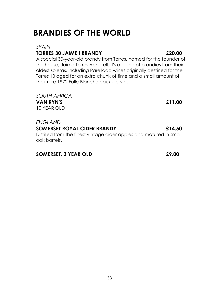## **BRANDIES OF THE WORLD**

### *SPAIN*

### **TORRES 30 JAIME I BRANDY £20.00**

A special 30-year-old brandy from Torres, named for the founder of the house, Jaime Torres Vendrell. It's a blend of brandies from their oldest soleras, including Parellada wines originally destined for the Torres 10 aged for an extra chunk of time and a small amount of their rare 1972 Folle Blanche eaux-de-vie.

*SOUTH AFRICA* **VAN RYN'S £11.00**

10 YEAR OLD

#### *ENGLAND*

### **SOMERSET ROYAL CIDER BRANDY £14.50**

Distilled from the finest vintage cider apples and matured in small oak barrels.

### **SOMERSET, 3 YEAR OLD £9.00**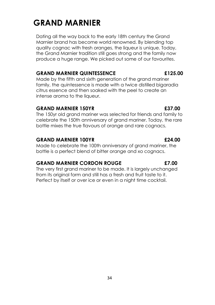## **GRAND MARNIER**

Dating all the way back to the early 18th century the Grand Marnier brand has become world renowned. By blending top quality cognac with fresh oranges, the liqueur is unique. Today, the Grand Marnier tradition still goes strong and the family now produce a huge range. We picked out some of our favourites.

### **GRAND MARNIER QUINTESSENCE £125.00**

Made by the fifth and sixth generation of the grand mariner family, the quintessence is made with a twice distilled bigaradia citrus essence and then soaked with the peel to create an intense aroma to the liqueur.

### **GRAND MARNIER 150YR £37.00**

The 150yr old grand mariner was selected for friends and family to celebrate the 150th anniversary of grand mariner. Today, the rare bottle mixes the true flavours of orange and rare cognacs.

### **GRAND MARNIER 100YR £24.00**

Made to celebrate the 100th anniversary of grand mariner, the bottle is a perfect blend of bitter orange and xo cognacs.

### **GRAND MARNIER CORDON ROUGE £7.00**

The very first grand mariner to be made. It is largely unchanged from its original form and still has a fresh and fruit taste to it. Perfect by itself or over ice or even in a night time cocktail.